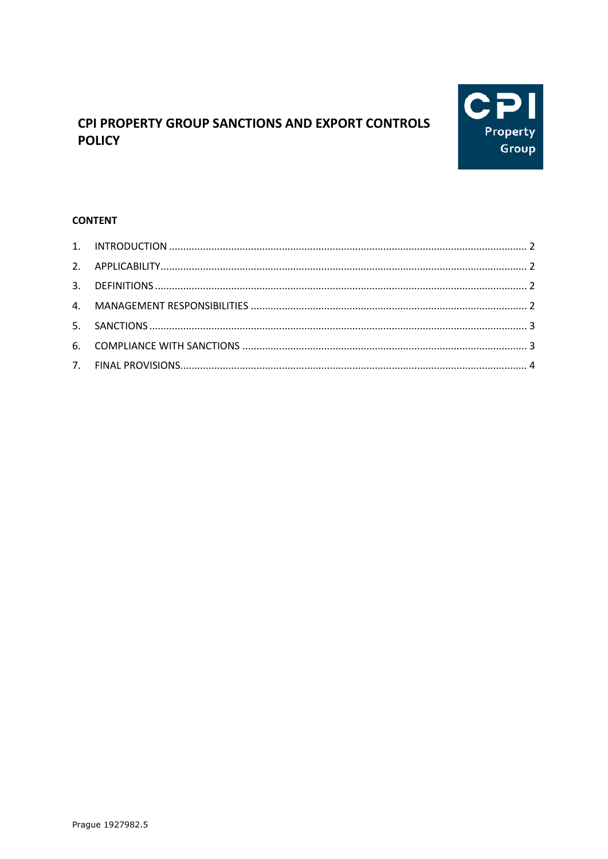

# CPI PROPERTY GROUP SANCTIONS AND EXPORT CONTROLS **POLICY**

# **CONTENT**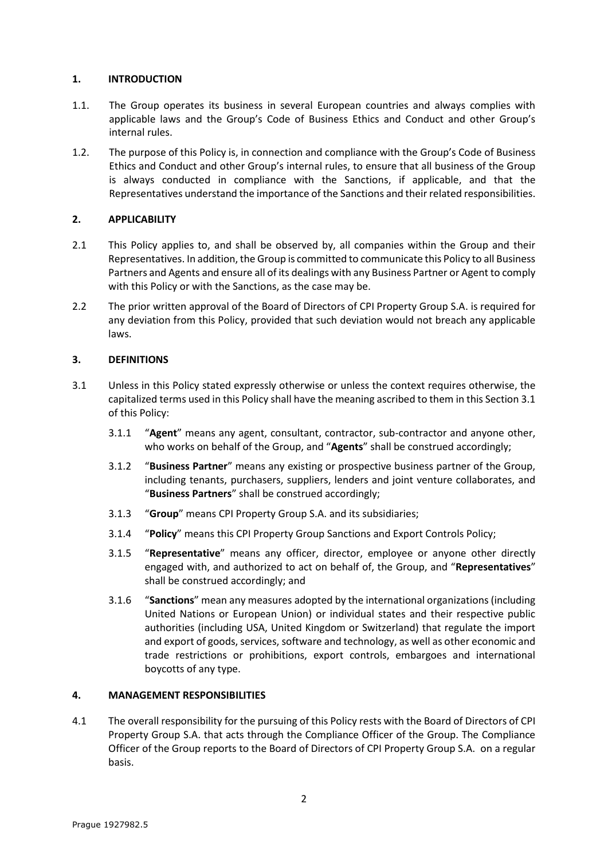### <span id="page-1-0"></span>**1. INTRODUCTION**

- 1.1. The Group operates its business in several European countries and always complies with applicable laws and the Group's Code of Business Ethics and Conduct and other Group's internal rules.
- 1.2. The purpose of this Policy is, in connection and compliance with the Group's Code of Business Ethics and Conduct and other Group's internal rules, to ensure that all business of the Group is always conducted in compliance with the Sanctions, if applicable, and that the Representatives understand the importance of the Sanctions and their related responsibilities.

## <span id="page-1-1"></span>**2. APPLICABILITY**

- 2.1 This Policy applies to, and shall be observed by, all companies within the Group and their Representatives. In addition, the Group is committed to communicate this Policy to all Business Partners and Agents and ensure all of its dealings with any Business Partner or Agent to comply with this Policy or with the Sanctions, as the case may be.
- 2.2 The prior written approval of the Board of Directors of CPI Property Group S.A. is required for any deviation from this Policy, provided that such deviation would not breach any applicable laws.

### <span id="page-1-2"></span>**3. DEFINITIONS**

- <span id="page-1-4"></span>3.1 Unless in this Policy stated expressly otherwise or unless the context requires otherwise, the capitalized terms used in this Policy shall have the meaning ascribed to them in this Sectio[n 3.1](#page-1-4) of this Policy:
	- 3.1.1 "**Agent**" means any agent, consultant, contractor, sub-contractor and anyone other, who works on behalf of the Group, and "**Agents**" shall be construed accordingly;
	- 3.1.2 "**Business Partner**" means any existing or prospective business partner of the Group, including tenants, purchasers, suppliers, lenders and joint venture collaborates, and "**Business Partners**" shall be construed accordingly;
	- 3.1.3 "**Group**" means CPI Property Group S.A. and its subsidiaries;
	- 3.1.4 "**Policy**" means this CPI Property Group Sanctions and Export Controls Policy;
	- 3.1.5 "**Representative**" means any officer, director, employee or anyone other directly engaged with, and authorized to act on behalf of, the Group, and "**Representatives**" shall be construed accordingly; and
	- 3.1.6 "**Sanctions**" mean any measures adopted by the international organizations (including United Nations or European Union) or individual states and their respective public authorities (including USA, United Kingdom or Switzerland) that regulate the import and export of goods, services, software and technology, as well as other economic and trade restrictions or prohibitions, export controls, embargoes and international boycotts of any type.

#### <span id="page-1-3"></span>**4. MANAGEMENT RESPONSIBILITIES**

4.1 The overall responsibility for the pursuing of this Policy rests with the Board of Directors of CPI Property Group S.A. that acts through the Compliance Officer of the Group. The Compliance Officer of the Group reports to the Board of Directors of CPI Property Group S.A. on a regular basis.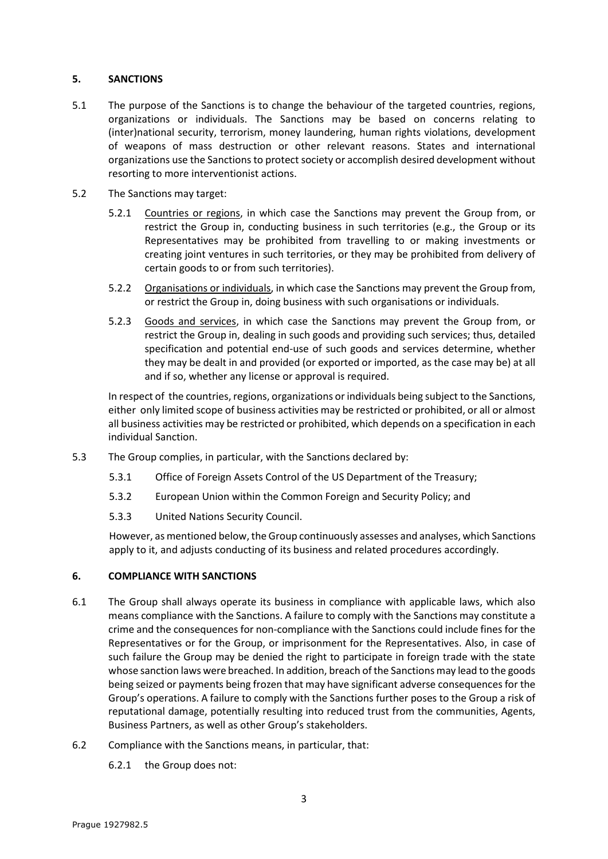### <span id="page-2-0"></span>**5. SANCTIONS**

- 5.1 The purpose of the Sanctions is to change the behaviour of the targeted countries, regions, organizations or individuals. The Sanctions may be based on concerns relating to (inter)national security, terrorism, money laundering, human rights violations, development of weapons of mass destruction or other relevant reasons. States and international organizations use the Sanctions to protect society or accomplish desired development without resorting to more interventionist actions.
- 5.2 The Sanctions may target:
	- 5.2.1 Countries or regions, in which case the Sanctions may prevent the Group from, or restrict the Group in, conducting business in such territories (e.g., the Group or its Representatives may be prohibited from travelling to or making investments or creating joint ventures in such territories, or they may be prohibited from delivery of certain goods to or from such territories).
	- 5.2.2 Organisations or individuals, in which case the Sanctions may prevent the Group from, or restrict the Group in, doing business with such organisations or individuals.
	- 5.2.3 Goods and services, in which case the Sanctions may prevent the Group from, or restrict the Group in, dealing in such goods and providing such services; thus, detailed specification and potential end-use of such goods and services determine, whether they may be dealt in and provided (or exported or imported, as the case may be) at all and if so, whether any license or approval is required.

In respect of the countries, regions, organizations or individuals being subject to the Sanctions, either only limited scope of business activities may be restricted or prohibited, or all or almost all business activities may be restricted or prohibited, which depends on a specification in each individual Sanction.

- 5.3 The Group complies, in particular, with the Sanctions declared by:
	- 5.3.1 Office of Foreign Assets Control of the US Department of the Treasury;
	- 5.3.2 European Union within the Common Foreign and Security Policy; and
	- 5.3.3 United Nations Security Council.

However, as mentioned below, the Group continuously assesses and analyses, which Sanctions apply to it, and adjusts conducting of its business and related procedures accordingly.

#### <span id="page-2-1"></span>**6. COMPLIANCE WITH SANCTIONS**

- 6.1 The Group shall always operate its business in compliance with applicable laws, which also means compliance with the Sanctions. A failure to comply with the Sanctions may constitute a crime and the consequences for non-compliance with the Sanctions could include fines for the Representatives or for the Group, or imprisonment for the Representatives. Also, in case of such failure the Group may be denied the right to participate in foreign trade with the state whose sanction laws were breached. In addition, breach of the Sanctions may lead to the goods being seized or payments being frozen that may have significant adverse consequences for the Group's operations. A failure to comply with the Sanctions further poses to the Group a risk of reputational damage, potentially resulting into reduced trust from the communities, Agents, Business Partners, as well as other Group's stakeholders.
- 6.2 Compliance with the Sanctions means, in particular, that:
	- 6.2.1 the Group does not: